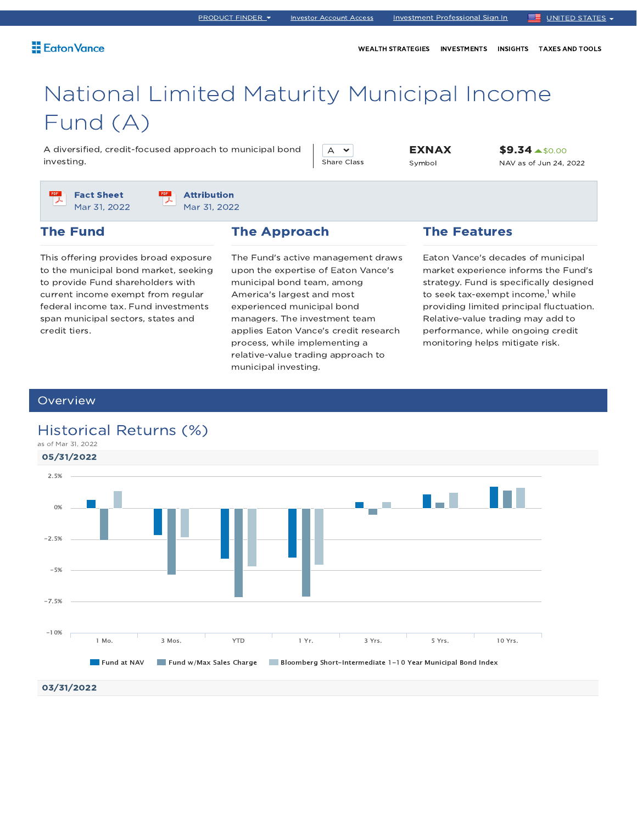WEALTH STRATEGIES INVESTMENTS INSIGHTS TAXES AND TOOLS

# National Limited Maturity Municipal Income Fund (A)

A diversified, credit-focused approach to municipal bond investing.

 $A \times$ Share Class EXNAX Symbol

\$9.34 \$0.00 NAV as of Jun 24, 2022

Fact Sheet Mar 31, 2022 Attribution Mar 31, 2022

## The Fund

This offering provides broad exposure to the municipal bond market, seeking to provide Fund shareholders with current income exempt from regular federal income tax. Fund investments span municipal sectors, states and credit tiers.

## The Approach

The Fund's active management draws upon the expertise of Eaton Vance's municipal bond team, among America's largest and most experienced municipal bond managers. The investment team applies Eaton Vance's credit research process, while implementing a relative-value trading approach to municipal investing.

## The Features

Eaton Vance's decades of municipal market experience informs the Fund's strategy. Fund is specifically designed to seek tax-exempt income,<sup>1</sup> while providing limited principal fluctuation. Relative-value trading may add to performance, while ongoing credit monitoring helps mitigate risk.

### **Overview**

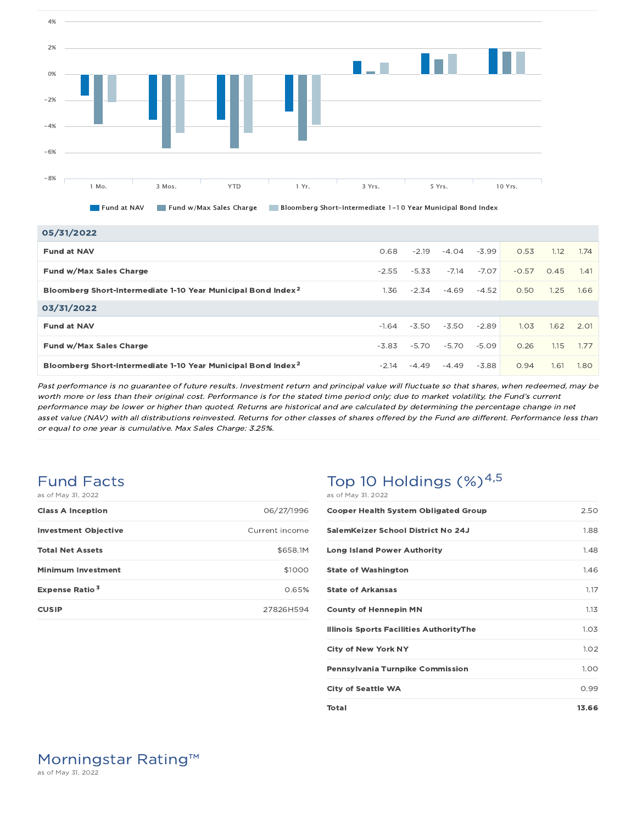

| 05/31/2022                                                               |         |         |         |         |         |      |                   |
|--------------------------------------------------------------------------|---------|---------|---------|---------|---------|------|-------------------|
| <b>Fund at NAV</b>                                                       | 0.68    | $-2.19$ | $-4.04$ | $-3.99$ | 0.53    | 1.12 | 1.74              |
| Fund w/Max Sales Charge                                                  | $-2.55$ | $-5.33$ | $-7.14$ | $-7.07$ | $-0.57$ | 0.45 | 1.41              |
| Bloomberg Short-Intermediate 1-10 Year Municipal Bond Index <sup>2</sup> | 1.36    | $-2.34$ | $-4.69$ | $-4.52$ | 0.50    | 1.25 | 1.66              |
| 03/31/2022                                                               |         |         |         |         |         |      |                   |
| <b>Fund at NAV</b>                                                       | $-1.64$ | $-3.50$ | $-3.50$ | $-2.89$ | 1.03    | 1.62 | 2.01              |
| Fund w/Max Sales Charge                                                  | $-3.83$ | $-5.70$ | $-5.70$ | $-5.09$ | 0.26    | 1.15 | 1.77              |
| Bloomberg Short-Intermediate 1-10 Year Municipal Bond Index <sup>2</sup> | $-2.14$ | $-4.49$ | $-4.49$ | $-3.88$ | 0.94    | 1.61 | 1.80 <sub>1</sub> |

Past performance is no guarantee of future results. Investment return and principal value will fluctuate so that shares, when redeemed, may be worth more or less than their original cost. Performance is for the stated time period only; due to market volatility, the Fund's current performance may be lower or higher than quoted. Returns are historical and are calculated by determining the percentage change in net asset value (NAV) with all distributions reinvested. Returns for other classes of shares offered by the Fund are different. Performance less than or equal to one year is cumulative. Max Sales Charge: 3.25%.

### Fund Facts as of May 31, 2022

| <b>Class A Inception</b>         | 06/27/1996     |
|----------------------------------|----------------|
| <b>Investment Objective</b>      | Current income |
| <b>Total Net Assets</b>          | \$658.1M       |
| <b>Minimum Investment</b>        | \$1000         |
| <b>Expense Ratio<sup>3</sup></b> | 0.65%          |
| <b>CUSIP</b>                     | 27826H594      |

## Top 10 Holdings  $(\%)^{4,5}$ as of May 31, 2022

| <b>Cooper Health System Obligated Group</b>    | 2.50  |
|------------------------------------------------|-------|
| SalemKeizer School District No 24J             | 1.88  |
| <b>Long Island Power Authority</b>             | 1.48  |
| <b>State of Washington</b>                     | 1.46  |
| <b>State of Arkansas</b>                       | 1.17  |
| <b>County of Hennepin MN</b>                   | 1.13  |
| <b>Illinois Sports Facilities AuthorityThe</b> | 1.03  |
| <b>City of New York NY</b>                     | 1.02  |
| <b>Pennsylvania Turnpike Commission</b>        | 1.00  |
| <b>City of Seattle WA</b>                      | 0.99  |
| Total                                          | 13.66 |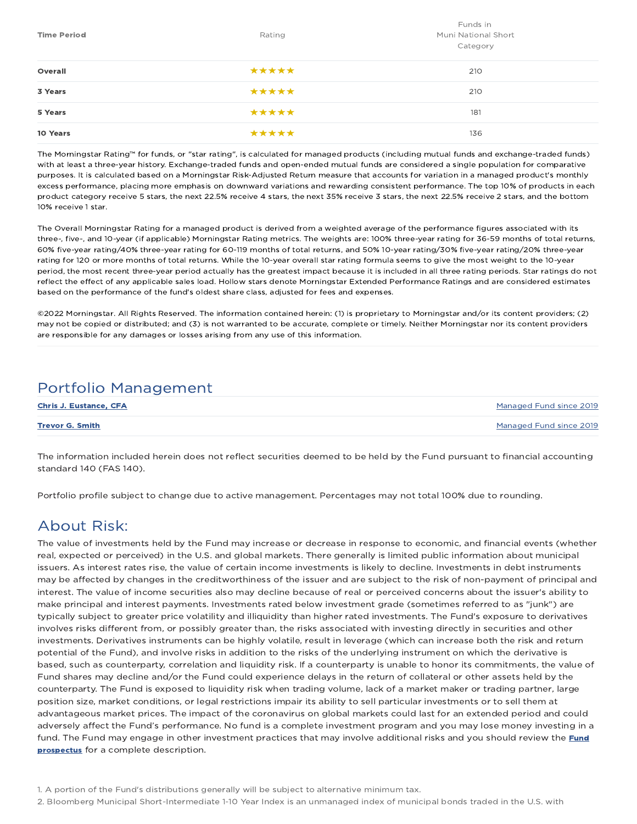| <b>Time Period</b> | Rating | Funds in<br>Muni National Short<br>Category |
|--------------------|--------|---------------------------------------------|
| Overall            | *****  | 210                                         |
| 3 Years            | *****  | 210                                         |
| 5 Years            | *****  | 181                                         |
| 10 Years           | *****  | 136                                         |

The Morningstar Rating™ for funds, or "star rating", is calculated for managed products (including mutual funds and exchange-traded funds) with at least a three-year history. Exchange-traded funds and open-ended mutual funds are considered a single population for comparative purposes. It is calculated based on a Morningstar Risk-Adjusted Return measure that accounts for variation in a managed product's monthly excess performance, placing more emphasis on downward variations and rewarding consistent performance. The top 10% of products in each product category receive 5 stars, the next 22.5% receive 4 stars, the next 35% receive 3 stars, the next 22.5% receive 2 stars, and the bottom 10% receive 1 star.

The Overall Morningstar Rating for a managed product is derived from a weighted average of the performance figures associated with its three-, five-, and 10-year (if applicable) Morningstar Rating metrics. The weights are: 100% three-year rating for 36-59 months of total returns, 60% five-year rating/40% three-year rating for 60-119 months of total returns, and 50% 10-year rating/30% five-year rating/20% three-year rating for 120 or more months of total returns. While the 10-year overall star rating formula seems to give the most weight to the 10-year period, the most recent three-year period actually has the greatest impact because it is included in all three rating periods. Star ratings do not reflect the effect of any applicable sales load. Hollow stars denote Morningstar Extended Performance Ratings and are considered estimates based on the performance of the fund's oldest share class, adjusted for fees and expenses.

©2022 Morningstar. All Rights Reserved. The information contained herein: (1) is proprietary to Morningstar and/or its content providers; (2) may not be copied or distributed; and (3) is not warranted to be accurate, complete or timely. Neither Morningstar nor its content providers are responsible for any damages or losses arising from any use of this information.

# Portfolio Management

| <b>Chris J. Eustance, CFA</b> | Managed Fund since 2019 |
|-------------------------------|-------------------------|
| <b>Trevor G. Smith</b>        | Managed Fund since 2019 |

The information included herein does not reflect securities deemed to be held by the Fund pursuant to financial accounting standard 140 (FAS 140).

Portfolio profile subject to change due to active management. Percentages may not total 100% due to rounding.

# About Risk:

The value of investments held by the Fund may increase or decrease in response to economic, and financial events (whether real, expected or perceived) in the U.S. and global markets. There generally is limited public information about municipal issuers. As interest rates rise, the value of certain income investments is likely to decline. Investments in debt instruments may be affected by changes in the creditworthiness of the issuer and are subject to the risk of non-payment of principal and interest. The value of income securities also may decline because of real or perceived concerns about the issuer's ability to make principal and interest payments. Investments rated below investment grade (sometimes referred to as "junk") are typically subject to greater price volatility and illiquidity than higher rated investments. The Fund's exposure to derivatives involves risks different from, or possibly greater than, the risks associated with investing directly in securities and other investments. Derivatives instruments can be highly volatile, result in leverage (which can increase both the risk and return potential of the Fund), and involve risks in addition to the risks of the underlying instrument on which the derivative is based, such as counterparty, correlation and liquidity risk. If a counterparty is unable to honor its commitments, the value of Fund shares may decline and/or the Fund could experience delays in the return of collateral or other assets held by the counterparty. The Fund is exposed to liquidity risk when trading volume, lack of a market maker or trading partner, large position size, market conditions, or legal restrictions impair its ability to sell particular investments or to sell them at advantageous market prices. The impact of the coronavirus on global markets could last for an extended period and could adversely affect the Fund's performance. No fund is a complete investment program and you may lose money investing in a fund. The Fund may engage in other investment practices that may involve additional risks and you should review the *Fund* prospectus for a complete description.

1. A portion of the Fund's distributions generally will be subject to alternative minimum tax.

2. Bloomberg Municipal Short-Intermediate 1-10 Year Index is an unmanaged index of municipal bonds traded in the U.S. with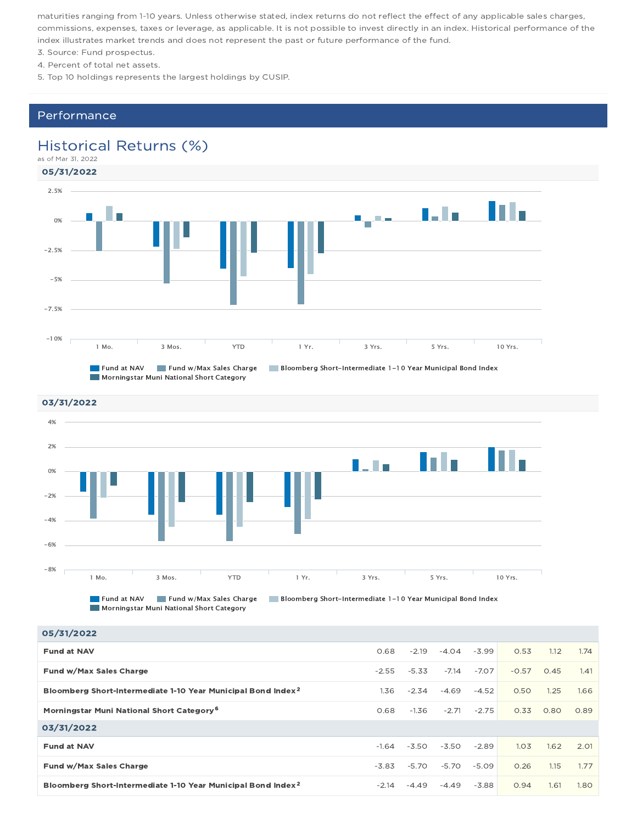maturities ranging from 1-10 years. Unless otherwise stated, index returns do not reflect the effect of any applicable sales charges, commissions, expenses, taxes or leverage, as applicable. It is not possible to invest directly in an index. Historical performance of the index illustrates market trends and does not represent the past or future performance of the fund.

- 3. Source: Fund prospectus.
- 4. Percent of total net assets.

5. Top 10 holdings represents the largest holdings by CUSIP.

### Performance

## Historical Returns (%)

as of Mar 31, 2022





**Morningstar Muni National Short Category** 

| $-3.99$<br>0.53<br>0.68<br>$-2.19$<br>$-4.04$<br>1.12<br><b>Fund at NAV</b><br>$-7.14$<br>$-7.07$<br>$-0.57$<br>Fund w/Max Sales Charge<br>$-2.55$<br>$-5.33$<br>0.45<br>Bloomberg Short-Intermediate 1-10 Year Municipal Bond Index <sup>2</sup><br>$-2.34$<br>$-4.69$<br>$-4.52$<br>0.50<br>1.25<br>1.36<br>1.66<br>Morningstar Muni National Short Category <sup>6</sup><br>$-2.71$<br>$-2.75$<br>0.33<br>0.89<br>0.68<br>$-1.36$<br>0.80<br>03/31/2022<br>1.03<br>$-2.89$<br>1.62<br>2.01<br>$-3.50$<br>$-3.50$<br><b>Fund at NAV</b><br>$-1.64$<br>Fund w/Max Sales Charge<br>0.26<br>$-5.70$<br>$-5.09$<br>1.15<br>-3.83<br>-5.70<br>1.77<br>Bloomberg Short-Intermediate 1-10 Year Municipal Bond Index <sup>2</sup><br>$-3.88$<br>0.94<br>1.61<br>1.80<br>$-2.14$<br>$-4.49$<br>$-4.49$ | 05/31/2022 |  |  |  |      |
|-------------------------------------------------------------------------------------------------------------------------------------------------------------------------------------------------------------------------------------------------------------------------------------------------------------------------------------------------------------------------------------------------------------------------------------------------------------------------------------------------------------------------------------------------------------------------------------------------------------------------------------------------------------------------------------------------------------------------------------------------------------------------------------------------|------------|--|--|--|------|
|                                                                                                                                                                                                                                                                                                                                                                                                                                                                                                                                                                                                                                                                                                                                                                                                 |            |  |  |  | 1.74 |
|                                                                                                                                                                                                                                                                                                                                                                                                                                                                                                                                                                                                                                                                                                                                                                                                 |            |  |  |  | 1.41 |
|                                                                                                                                                                                                                                                                                                                                                                                                                                                                                                                                                                                                                                                                                                                                                                                                 |            |  |  |  |      |
|                                                                                                                                                                                                                                                                                                                                                                                                                                                                                                                                                                                                                                                                                                                                                                                                 |            |  |  |  |      |
|                                                                                                                                                                                                                                                                                                                                                                                                                                                                                                                                                                                                                                                                                                                                                                                                 |            |  |  |  |      |
|                                                                                                                                                                                                                                                                                                                                                                                                                                                                                                                                                                                                                                                                                                                                                                                                 |            |  |  |  |      |
|                                                                                                                                                                                                                                                                                                                                                                                                                                                                                                                                                                                                                                                                                                                                                                                                 |            |  |  |  |      |
|                                                                                                                                                                                                                                                                                                                                                                                                                                                                                                                                                                                                                                                                                                                                                                                                 |            |  |  |  |      |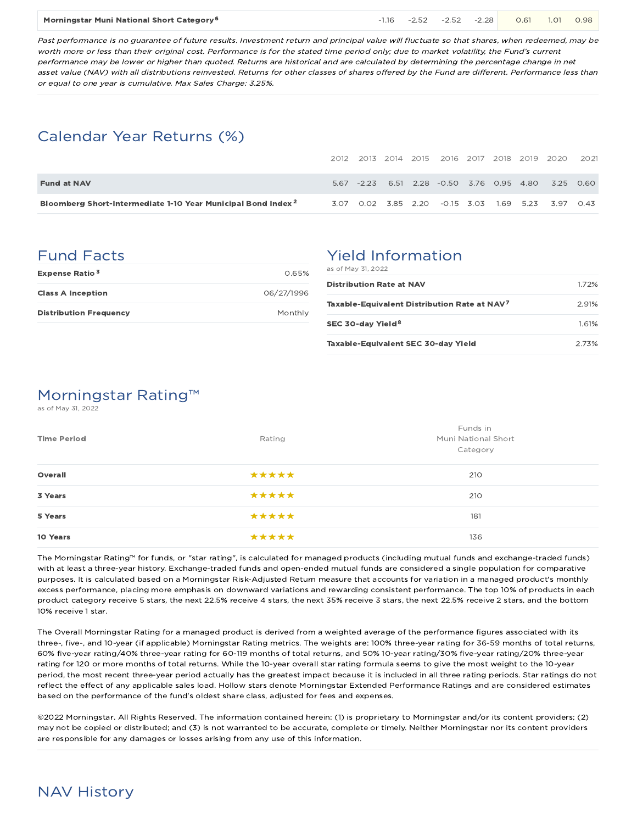#### Morningstar Muni National Short Category <sup>6</sup> 11.16 -2.52 -2.52 -2.52 -2.38 **1.1**01 0.98

Past performance is no guarantee of future results. Investment return and principal value will fluctuate so that shares, when redeemed, may be worth more or less than their original cost. Performance is for the stated time period only; due to market volatility, the Fund's current performance may be lower or higher than quoted. Returns are historical and are calculated by determining the percentage change in net asset value (NAV) with all distributions reinvested. Returns for other classes of shares offered by the Fund are different. Performance less than or equal to one year is cumulative. Max Sales Charge: 3.25%.

# Calendar Year Returns (%)

|                                                                          |  |  |  |  | 2012 2013 2014 2015 2016 2017 2018 2019 2020        | 2021 |
|--------------------------------------------------------------------------|--|--|--|--|-----------------------------------------------------|------|
| <b>Fund at NAV</b>                                                       |  |  |  |  | 5.67 -2.23 6.51 2.28 -0.50 3.76 0.95 4.80 3.25 0.60 |      |
| Bloomberg Short-Intermediate 1-10 Year Municipal Bond Index <sup>2</sup> |  |  |  |  | 3.07 0.02 3.85 2.20 -0.15 3.03 1.69 5.23 3.97 0.43  |      |

# Fund Facts

| <b>Expense Ratio<sup>3</sup></b> | 0.65%      |
|----------------------------------|------------|
| <b>Class A Inception</b>         | 06/27/1996 |
| <b>Distribution Frequency</b>    | Monthly    |

# Yield Information

as of May 31, 2022

| <b>Distribution Rate at NAV</b>                          | 1.72% |
|----------------------------------------------------------|-------|
| Taxable-Equivalent Distribution Rate at NAV <sup>7</sup> | 2.91% |
| SEC 30-day Yield <sup>8</sup>                            | 1.61% |
| Taxable-Equivalent SEC 30-day Yield                      | 273%  |

# Morningstar Rating™

as of May 31, 2022

| <b>Time Period</b> | Rating | Funds in<br>Muni National Short<br>Category |
|--------------------|--------|---------------------------------------------|
| Overall            | *****  | 210                                         |
| 3 Years            | *****  | 210                                         |
| 5 Years            | *****  | 181                                         |
| 10 Years           | *****  | 136                                         |

The Morningstar Rating™ for funds, or "star rating", is calculated for managed products (including mutual funds and exchange-traded funds) with at least a three-year history. Exchange-traded funds and open-ended mutual funds are considered a single population for comparative purposes. It is calculated based on a Morningstar Risk-Adjusted Return measure that accounts for variation in a managed product's monthly excess performance, placing more emphasis on downward variations and rewarding consistent performance. The top 10% of products in each product category receive 5 stars, the next 22.5% receive 4 stars, the next 35% receive 3 stars, the next 22.5% receive 2 stars, and the bottom 10% receive 1 star.

The Overall Morningstar Rating for a managed product is derived from a weighted average of the performance figures associated with its three-, five-, and 10-year (if applicable) Morningstar Rating metrics. The weights are: 100% three-year rating for 36-59 months of total returns, 60% five-year rating/40% three-year rating for 60-119 months of total returns, and 50% 10-year rating/30% five-year rating/20% three-year rating for 120 or more months of total returns. While the 10-year overall star rating formula seems to give the most weight to the 10-year period, the most recent three-year period actually has the greatest impact because it is included in all three rating periods. Star ratings do not reflect the effect of any applicable sales load. Hollow stars denote Morningstar Extended Performance Ratings and are considered estimates based on the performance of the fund's oldest share class, adjusted for fees and expenses.

©2022 Morningstar. All Rights Reserved. The information contained herein: (1) is proprietary to Morningstar and/or its content providers; (2) may not be copied or distributed; and (3) is not warranted to be accurate, complete or timely. Neither Morningstar nor its content providers are responsible for any damages or losses arising from any use of this information.

# NAV History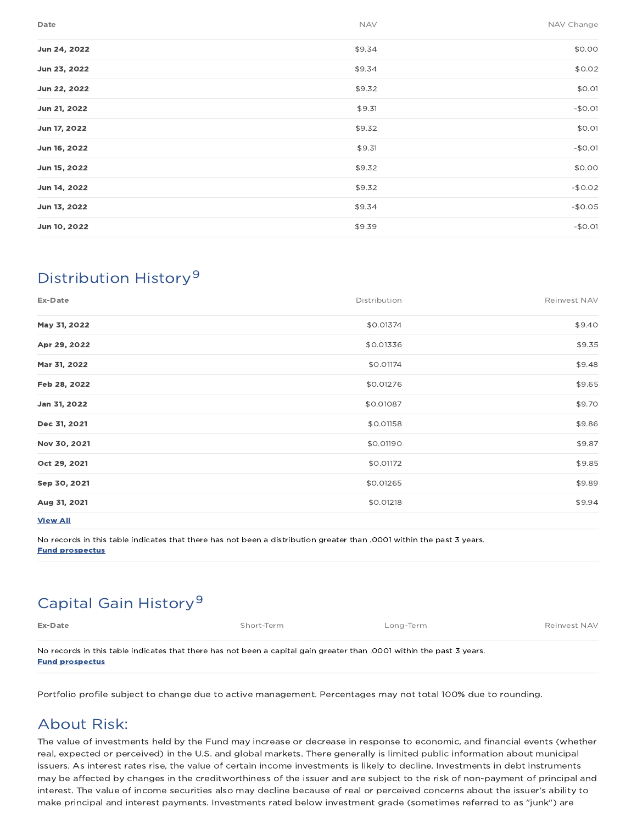| Date         | <b>NAV</b> | NAV Change |
|--------------|------------|------------|
| Jun 24, 2022 | \$9.34     | \$0.00     |
| Jun 23, 2022 | \$9.34     | \$0.02     |
| Jun 22, 2022 | \$9.32     | \$0.01     |
| Jun 21, 2022 | \$9.31     | $-$0.01$   |
| Jun 17, 2022 | \$9.32     | \$0.01     |
| Jun 16, 2022 | \$9.31     | $-$0.01$   |
| Jun 15, 2022 | \$9.32     | \$0.00     |
| Jun 14, 2022 | \$9.32     | $-$0.02$   |
| Jun 13, 2022 | \$9.34     | $-$0.05$   |
| Jun 10, 2022 | \$9.39     | $-$0.01$   |
|              |            |            |

# Distribution History 9

| Ex-Date         | Distribution | Reinvest NAV |
|-----------------|--------------|--------------|
| May 31, 2022    | \$0.01374    | \$9.40       |
| Apr 29, 2022    | \$0.01336    | \$9.35       |
| Mar 31, 2022    | \$0.01174    | \$9.48       |
| Feb 28, 2022    | \$0.01276    | \$9.65       |
| Jan 31, 2022    | \$0.01087    | \$9.70       |
| Dec 31, 2021    | \$0.01158    | \$9.86       |
| Nov 30, 2021    | \$0.01190    | \$9.87       |
| Oct 29, 2021    | \$0.01172    | \$9.85       |
| Sep 30, 2021    | \$0.01265    | \$9.89       |
| Aug 31, 2021    | \$0.01218    | \$9.94       |
| <b>View All</b> |              |              |

No records in this table indicates that there has not been a distribution greater than .0001 within the past 3 years. Fund prospectus

# Capital Gain History<sup>9</sup>

Ex-Date Short-Term Exercise Short-Term Long-Term Long-Term Reinvest NAV

No records in this table indicates that there has not been a capital gain greater than .0001 within the past 3 years. Fund prospectus

Portfolio profile subject to change due to active management. Percentages may not total 100% due to rounding.

# About Risk:

The value of investments held by the Fund may increase or decrease in response to economic, and financial events (whether real, expected or perceived) in the U.S. and global markets. There generally is limited public information about municipal issuers. As interest rates rise, the value of certain income investments is likely to decline. Investments in debt instruments may be affected by changes in the creditworthiness of the issuer and are subject to the risk of non-payment of principal and interest. The value of income securities also may decline because of real or perceived concerns about the issuer's ability to make principal and interest payments. Investments rated below investment grade (sometimes referred to as "junk") are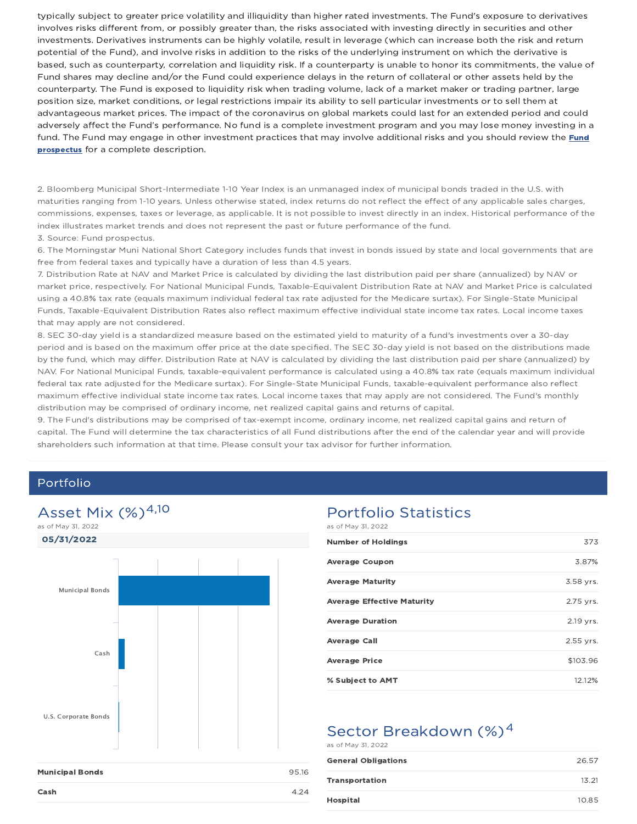typically subject to greater price volatility and illiquidity than higher rated investments. The Fund's exposure to derivatives involves risks different from, or possibly greater than, the risks associated with investing directly in securities and other investments. Derivatives instruments can be highly volatile, result in leverage (which can increase both the risk and return potential of the Fund), and involve risks in addition to the risks of the underlying instrument on which the derivative is based, such as counterparty, correlation and liquidity risk. If a counterparty is unable to honor its commitments, the value of Fund shares may decline and/or the Fund could experience delays in the return of collateral or other assets held by the counterparty. The Fund is exposed to liquidity risk when trading volume, lack of a market maker or trading partner, large position size, market conditions, or legal restrictions impair its ability to sell particular investments or to sell them at advantageous market prices. The impact of the coronavirus on global markets could last for an extended period and could adversely affect the Fund's performance. No fund is a complete investment program and you may lose money investing in a fund. The Fund may engage in other investment practices that may involve additional risks and you should review the Fund **prospectus** for a complete description.

2. Bloomberg Municipal Short-Intermediate 1-10 Year Index is an unmanaged index of municipal bonds traded in the U.S. with maturities ranging from 1-10 years. Unless otherwise stated, index returns do not reflect the effect of any applicable sales charges, commissions, expenses, taxes or leverage, as applicable. It is not possible to invest directly in an index. Historical performance of the index illustrates market trends and does not represent the past or future performance of the fund.

#### 3. Source: Fund prospectus.

6. The Morningstar Muni National Short Category includes funds that invest in bonds issued by state and local governments that are free from federal taxes and typically have a duration of less than 4.5 years.

7. Distribution Rate at NAV and Market Price is calculated by dividing the last distribution paid per share (annualized) by NAV or market price, respectively. For National Municipal Funds, Taxable-Equivalent Distribution Rate at NAV and Market Price is calculated using a 40.8% tax rate (equals maximum individual federal tax rate adjusted for the Medicare surtax). For Single-State Municipal Funds, Taxable-Equivalent Distribution Rates also reflect maximum effective individual state income tax rates. Local income taxes that may apply are not considered.

8. SEC 30-day yield is a standardized measure based on the estimated yield to maturity of a fund's investments over a 30-day period and is based on the maximum offer price at the date specified. The SEC 30-day yield is not based on the distributions made by the fund, which may differ. Distribution Rate at NAV is calculated by dividing the last distribution paid per share (annualized) by NAV. For National Municipal Funds, taxable-equivalent performance is calculated using a 40.8% tax rate (equals maximum individual federal tax rate adjusted for the Medicare surtax). For Single-State Municipal Funds, taxable-equivalent performance also reflect maximum effective individual state income tax rates. Local income taxes that may apply are not considered. The Fund's monthly distribution may be comprised of ordinary income, net realized capital gains and returns of capital.

9. The Fund's distributions may be comprised of tax-exempt income, ordinary income, net realized capital gains and return of capital. The Fund will determine the tax characteristics of all Fund distributions after the end of the calendar year and will provide shareholders such information at that time. Please consult your tax advisor for further information.

## Portfolio

## Asset Mix  $(%)^{4,10}$

05/31/2022 as of May 31, 2022



## Portfolio Statistics

as of May 31, 2022

| <b>Number of Holdings</b>         | 373       |
|-----------------------------------|-----------|
| <b>Average Coupon</b>             | 3.87%     |
| <b>Average Maturity</b>           | 3.58 yrs. |
| <b>Average Effective Maturity</b> | 2.75 yrs. |
| <b>Average Duration</b>           | 2.19 yrs. |
| <b>Average Call</b>               | 2.55 yrs. |
| <b>Average Price</b>              | \$103.96  |
| % Subject to AMT                  | 12.12%    |

### Sector Breakdown (%)<sup>4</sup> as of May 31, 2022

| <b>General Obligations</b> | 26.57 |
|----------------------------|-------|
| <b>Transportation</b>      | 13.21 |
| <b>Hospital</b>            | 10.85 |

| <b>Municipal Bonds</b> | 95.16 |
|------------------------|-------|
| Cash                   |       |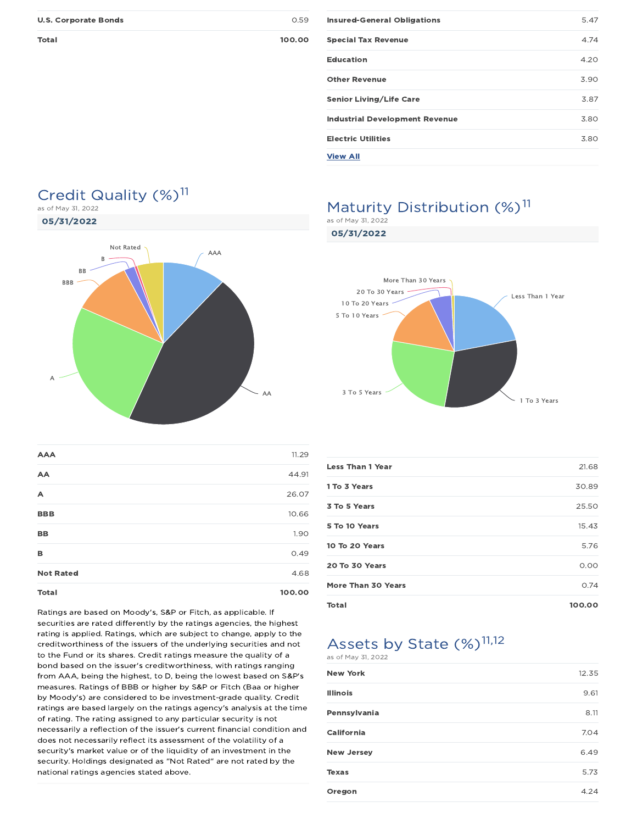Total 100.00

|  | v<br>۰<br>. | ۰ |
|--|-------------|---|
|  |             |   |
|  |             |   |
|  |             |   |

| <b>Insured-General Obligations</b>    | 5.47 |
|---------------------------------------|------|
| <b>Special Tax Revenue</b>            | 4.74 |
| <b>Education</b>                      | 4.20 |
| <b>Other Revenue</b>                  | 3.90 |
| <b>Senior Living/Life Care</b>        | 3.87 |
| <b>Industrial Development Revenue</b> | 3.80 |
| <b>Electric Utilities</b>             | 3.80 |
| <b>View All</b>                       |      |

### Credit Quality (%)<sup>11</sup> as of May 31, 2022

05/31/2022



# **AAA** 11.29 **AA** 44.91  $\lambda$  26.07 **BBB** 10.66 **BB** 1.90  $B$  0.49 Not Rated 4.68

Total 100.00

### Ratings are based on Moody's, S&P or Fitch, as applicable. If securities are rated differently by the ratings agencies, the highest rating is applied. Ratings, which are subject to change, apply to the creditworthiness of the issuers of the underlying securities and not to the Fund or its shares. Credit ratings measure the quality of a bond based on the issuer's creditworthiness, with ratings ranging from AAA, being the highest, to D, being the lowest based on S&P's measures. Ratings of BBB or higher by S&P or Fitch (Baa or higher by Moody's) are considered to be investment-grade quality. Credit ratings are based largely on the ratings agency's analysis at the time of rating. The rating assigned to any particular security is not necessarily a reflection of the issuer's current financial condition and does not necessarily reflect its assessment of the volatility of a security's market value or of the liquidity of an investment in the security. Holdings designated as "Not Rated" are not rated by the national ratings agencies stated above.

### Maturity Distribution (%)<sup>11</sup> as of May 31, 2022

05/31/2022

Less Than 1 Year To 3 Years To 5 Years To 10 Years To 20 Years To 30 Years More Than 30 Years

| <b>Less Than 1 Year</b> | 21.68  |
|-------------------------|--------|
| 1 To 3 Years            | 30.89  |
| 3 To 5 Years            | 25.50  |
| 5 To 10 Years           | 15.43  |
| 10 To 20 Years          | 5.76   |
| 20 To 30 Years          | 0.00   |
| More Than 30 Years      | 0.74   |
| <b>Total</b>            | 100.00 |

Assets by State (%)<sup>11,12</sup> as of May 31, 2022

| <b>New York</b>   | 12.35 |
|-------------------|-------|
| <b>Illinois</b>   | 9.61  |
| Pennsylvania      | 8.11  |
| California        | 7.04  |
| <b>New Jersey</b> | 6.49  |
| <b>Texas</b>      | 5.73  |
| Oregon            | 4.24  |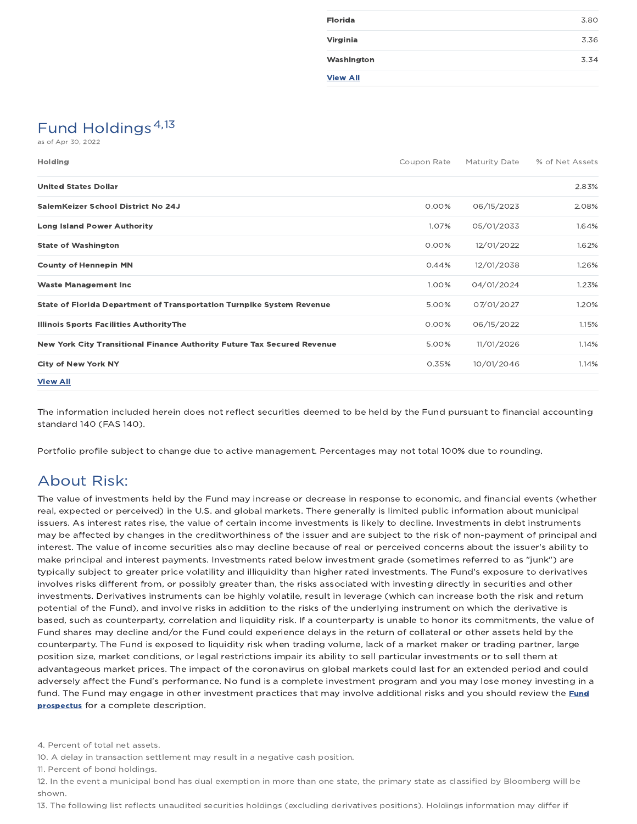| <b>Florida</b>  | 3.80 |
|-----------------|------|
| Virginia        | 3.36 |
| Washington      | 3.34 |
| <b>View All</b> |      |

# Fund Holdings<sup>4,13</sup>

as of Apr 30, 2022

| <b>Holding</b>                                                          | Coupon Rate | Maturity Date | % of Net Assets |
|-------------------------------------------------------------------------|-------------|---------------|-----------------|
| <b>United States Dollar</b>                                             |             |               | 2.83%           |
| SalemKeizer School District No 24J                                      | 0.00%       | 06/15/2023    | 2.08%           |
| <b>Long Island Power Authority</b>                                      | 1.07%       | 05/01/2033    | 1.64%           |
| <b>State of Washington</b>                                              | 0.00%       | 12/01/2022    | 1.62%           |
| <b>County of Hennepin MN</b>                                            | 0.44%       | 12/01/2038    | 1.26%           |
| <b>Waste Management Inc.</b>                                            | 1.00%       | 04/01/2024    | 1.23%           |
| State of Florida Department of Transportation Turnpike System Revenue   | 5.00%       | 07/01/2027    | 1.20%           |
| <b>Illinois Sports Facilities AuthorityThe</b>                          | 0.00%       | 06/15/2022    | 1.15%           |
| New York City Transitional Finance Authority Future Tax Secured Revenue | 5.00%       | 11/01/2026    | 1.14%           |
| <b>City of New York NY</b>                                              | 0.35%       | 10/01/2046    | 1.14%           |
| <b>View All</b>                                                         |             |               |                 |

The information included herein does not reflect securities deemed to be held by the Fund pursuant to financial accounting standard 140 (FAS 140).

Portfolio profile subject to change due to active management. Percentages may not total 100% due to rounding.

## About Risk:

The value of investments held by the Fund may increase or decrease in response to economic, and financial events (whether real, expected or perceived) in the U.S. and global markets. There generally is limited public information about municipal issuers. As interest rates rise, the value of certain income investments is likely to decline. Investments in debt instruments may be affected by changes in the creditworthiness of the issuer and are subject to the risk of non-payment of principal and interest. The value of income securities also may decline because of real or perceived concerns about the issuer's ability to make principal and interest payments. Investments rated below investment grade (sometimes referred to as "junk") are typically subject to greater price volatility and illiquidity than higher rated investments. The Fund's exposure to derivatives involves risks different from, or possibly greater than, the risks associated with investing directly in securities and other investments. Derivatives instruments can be highly volatile, result in leverage (which can increase both the risk and return potential of the Fund), and involve risks in addition to the risks of the underlying instrument on which the derivative is based, such as counterparty, correlation and liquidity risk. If a counterparty is unable to honor its commitments, the value of Fund shares may decline and/or the Fund could experience delays in the return of collateral or other assets held by the counterparty. The Fund is exposed to liquidity risk when trading volume, lack of a market maker or trading partner, large position size, market conditions, or legal restrictions impair its ability to sell particular investments or to sell them at advantageous market prices. The impact of the coronavirus on global markets could last for an extended period and could adversely affect the Fund's performance. No fund is a complete investment program and you may lose money investing in a fund. The Fund may engage in other investment practices that may involve additional risks and you should review the Fund prospectus for a complete description.

4. Percent of total net assets.

10. A delay in transaction settlement may result in a negative cash position.

11. Percent of bond holdings.

12. In the event a municipal bond has dual exemption in more than one state, the primary state as classified by Bloomberg will be shown.

13. The following list reflects unaudited securities holdings (excluding derivatives positions). Holdings information may differ if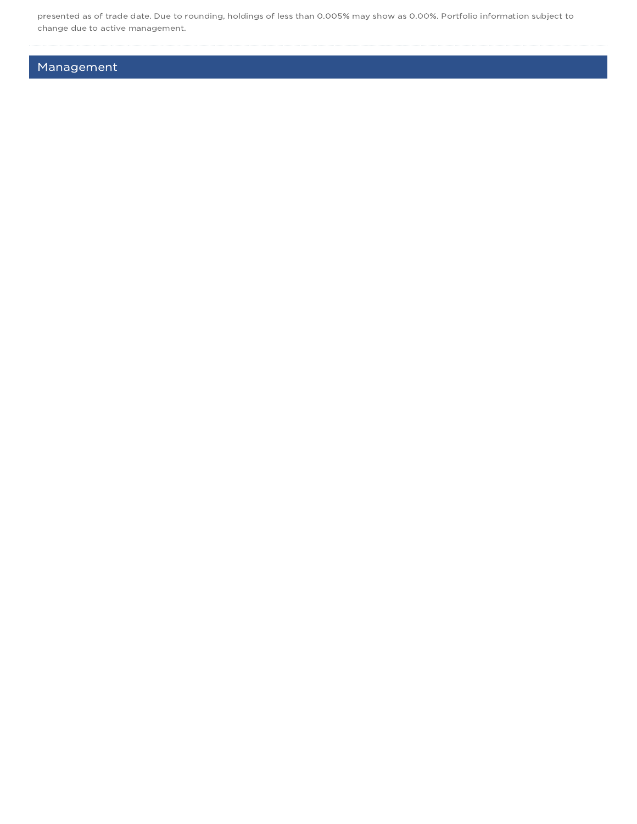presented as of trade date. Due to rounding, holdings of less than 0.005% may show as 0.00%. Portfolio information subject to change due to active management.

## Management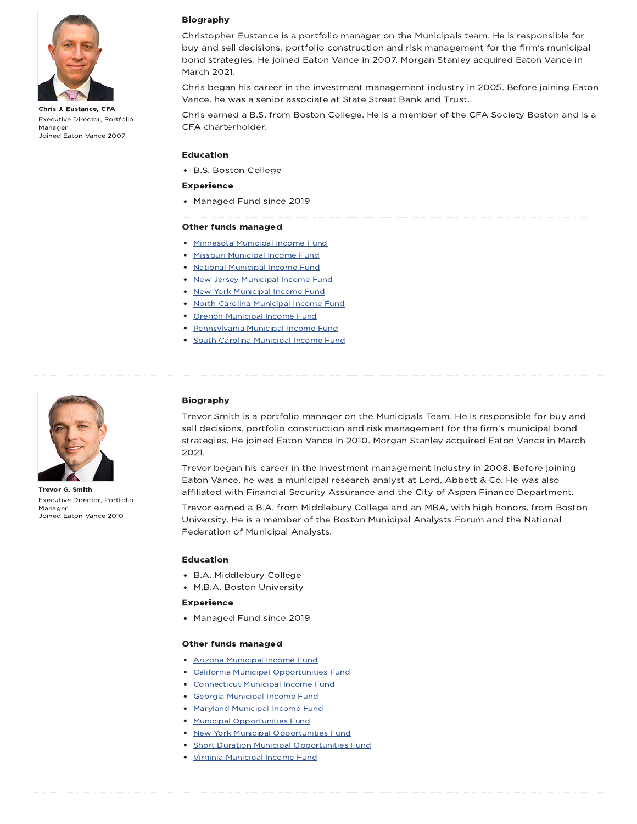

Chris J. Eustance, CFA Executive Director, Portfolio Manager Joined Eaton Vance 2007

### Biography

Christopher Eustance is a portfolio manager on the Municipals team. He is responsible for buy and sell decisions, portfolio construction and risk management for the firm's municipal bond strategies. He joined Eaton Vance in 2007. Morgan Stanley acquired Eaton Vance in March 2021.

Chris began his career in the investment management industry in 2005. Before joining Eaton Vance, he was a senior associate at State Street Bank and Trust.

Chris earned a B.S. from Boston College. He is a member of the CFA Society Boston and is a CFA charterholder.

### Education

B.S. Boston College

#### Experience

• Managed Fund since 2019

#### Other funds managed

- Minnesota Municipal Income Fund
- Missouri Municipal Income Fund
- National Municipal Income Fund
- New Jersey Municipal Income Fund
- New York Municipal Income Fund
- North Carolina Municipal Income Fund
- Oregon Municipal Income Fund
- Pennsylvania Municipal Income Fund
- **South Carolina Municipal Income Fund**



Trevor G. Smith Executive Director, Portfolio Manager Joined Eaton Vance 2010

### Biography

Trevor Smith is a portfolio manager on the Municipals Team. He is responsible for buy and sell decisions, portfolio construction and risk management for the firm's municipal bond strategies. He joined Eaton Vance in 2010. Morgan Stanley acquired Eaton Vance in March 2021.

Trevor began his career in the investment management industry in 2008. Before joining Eaton Vance, he was a municipal research analyst at Lord, Abbett & Co. He was also affiliated with Financial Security Assurance and the City of Aspen Finance Department.

Trevor earned a B.A. from Middlebury College and an MBA, with high honors, from Boston University. He is a member of the Boston Municipal Analysts Forum and the National Federation of Municipal Analysts.

### Education

- B.A. Middlebury College
- M.B.A. Boston University

#### Experience

Managed Fund since 2019

#### Other funds managed

- Arizona Municipal Income Fund
- California Municipal Opportunities Fund
- Connecticut Municipal Income Fund
- Georgia Municipal Income Fund
- **Maryland Municipal Income Fund**
- Municipal Opportunities Fund
- New York Municipal Opportunities Fund
- **Short Duration Municipal Opportunities Fund**
- Virginia Municipal Income Fund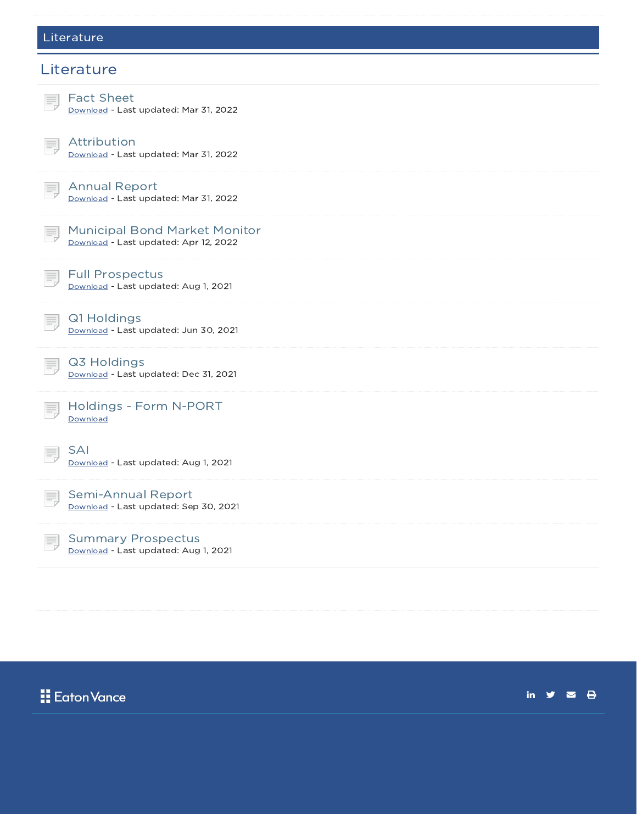### Literature



# **H** Eaton Vance

in  $\mathbf{y}$   $\mathbf{z}$   $\mathbf{\Theta}$